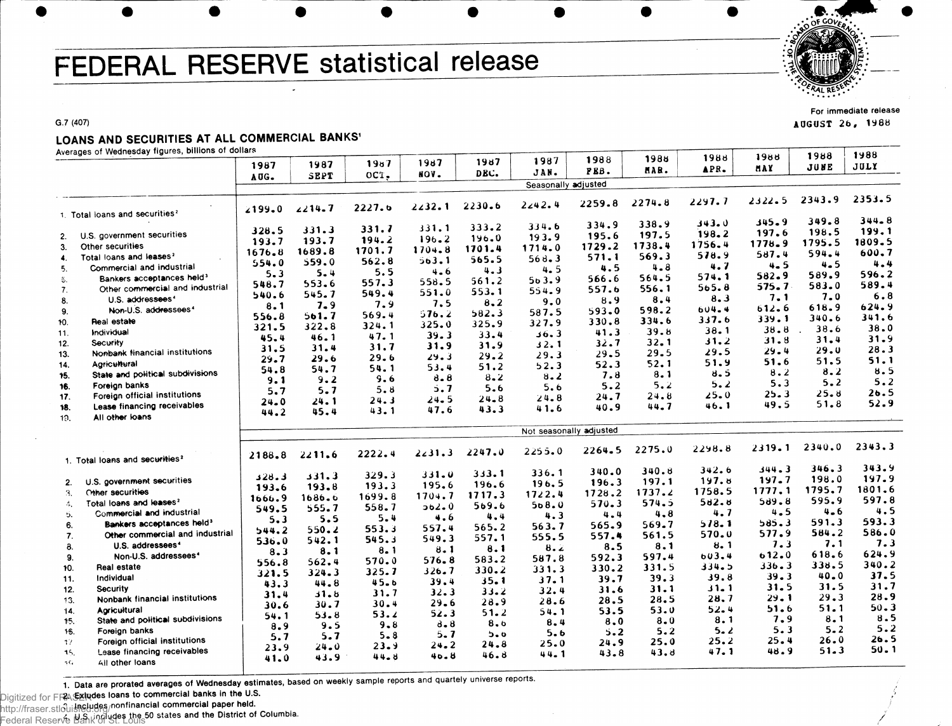# FEDERAL RESERVE statistical release



**For immediate release** AUGUST 26, 1988

#### **G.7 (407)**

## LOANS AND SECURITIES AT ALL COMMERCIAL BANKS'

**Averages of Wednesday figures, billions of dollars**

| Averages or wednesday rigures, binions or donal         |            |        |                   | 1987      | 1987     | 1987                    | 1988    | 1988   | 1988    | 1988       | 1988    | 1988     |
|---------------------------------------------------------|------------|--------|-------------------|-----------|----------|-------------------------|---------|--------|---------|------------|---------|----------|
|                                                         | 1987       | 1987   | 19 <sub>0</sub> 7 | HOV.      | DEC.     | JAN.                    | PEB.    | MAR.   | APR.    | <b>HAY</b> | JUNE    | JULY     |
|                                                         | AUG.       | SEPT   | OCT.              |           |          | Seasonally adjusted     |         |        |         |            |         |          |
|                                                         |            |        |                   |           |          |                         |         |        | 2297.7  | $2322 - 5$ | 2343.9  | 2353.5   |
| 1. Total loans and securities <sup>2</sup>              | 2199.0     | 2214.7 | 2227.6            | 2232.1    | 2230.6   | 2242.4                  | 2259.8  | 2274.8 |         |            |         |          |
|                                                         |            |        | 331.7             | 331.1     | 333.2    | 334.6                   | 334.9   | 338.9  | 343.0   | 345.9      | 349.8   | 344.8    |
| U.S. government securities<br>2.                        | 328.5      | 331.3  | 194.2             | 196.2     | 196.0    | 193.9                   | 195.6   | 197.5  | 198.2   | 197.6      | 198.5   | 199.1    |
| Other securities<br>3.                                  | 193.7      | 193.7  |                   | 1704.8    | 1701.4   | 1714.0                  | 1729.2  | 1738.4 | 1756.4  | 1778.9     | 1795.5  | 1809.5   |
| Total loans and leases?<br>$\clubsuit$ .                | $1676 - 8$ | 1689.8 | 1701.7            |           | 565.5    | 568.3                   | 571.1   | 569.3  | 578.9   | 587.4      | 594.4   | 600.7    |
| Commercial and industrial<br>5.                         | 554.0      | 559.0  | 562.8             | 563.1     |          | 4.5                     | 4.5     | 4.8    | 4.7     | $4 - 5$    | 4.5     | 4.4      |
| Bankers acceptances held <sup>3</sup><br>参.             | 5.3        | 5.4    | 5.5               | $4 - 6$   | 4.3      | 563.9                   | 566.6   | 564.5  | 574.1   | $582 - 9$  | 589.9   | 596.2    |
| Other commercial and industrial<br>7.                   | 548.7      | 553.6  | 557.3             | 558.5     | 561.2    |                         | 557.6   | 556.1  | 565.8   | 575.7      | 583.0   | 589.4    |
| U.S. addressees <sup>4</sup>                            | 540.6      | 545.7  | 549.4             | 551.0     | 553.1    | 554.9                   |         | 8,4    | 8.3     | 7.1        | 7.0     | 6.8      |
| 8.<br>Non-U.S. addressees <sup>4</sup>                  | 8.1        | 7.9    | 7.9               | 7.5       | 8, 2     | 9.0                     | 8.9     | 598.2  | 604.4   | 612.6      | 618.9   | 624.9    |
| 9.                                                      | 556.8      | 561.7  | 569.4             | 576.2     | 582.3    | 587.5                   | 593.0   |        | 337.6   | 339.1      | 340.6   | 341.6    |
| Real estate<br>10.                                      | 321.5      | 322.8  | 324.1             | 325.0     | 325.9    | 327.9                   | 330.8   | 334.6  |         | 38.8       | 38.6    | 38.0     |
| Individual<br>11.                                       | 45.4       | 46.1   | 47.1              | 39.3      | 33.4     | 36.3                    | 41.3    | 39.8   | 38.1    | 31.8       | 31.4    | 31.9     |
| Security<br>12.                                         | 31.5       | 31.4   | 31.7              | 31.9      | 31.9     | 32.1                    | 32.7    | 32.1   | 31.2    |            | 29.0    | 28.3     |
| Nonbank financial institutions<br>13.                   | 29.7       | 29.6   | 29.6              | 29.3      | 29.2     | 29.3                    | 29.5    | 29.5   | 29.5    | 29.4       |         | 51.1     |
| Agricultural<br>14.                                     | 54.8       | 54.7   | 54.1              | 53.4      | 51.2     | 52.3                    | 52.3    | 52.1   | 51.9    | 51.6       | 51.5    |          |
| State and political subdivisions<br>15.                 | 9.1        | 9.2    | 9.6               | 8.8       | 8.2      | 8.2                     | 7.8     | 8.1    | ช. 5    | 8.2        | 8.2     | 8.5      |
| Foreign banks<br>16.                                    |            | 5.7    | 5.8               | 5.7       | 5.6      | 5.6                     | 5.2     | 5.2    | 5.2     | 5.3        | 5.2     | 5.2      |
| Foreign official institutions<br>17.                    | 5.7        |        | 24.3              | 24.5      | $24 - 8$ | 24.8                    | 24.7    | 24.8   | 25.0    | 25.3       | 25.8    | 26.5     |
| Lease financing receivables<br>18.                      | 24.0       | 24.1   | 43.1              | 47.6      | 43.3     | 41.6                    | 40.9    | 44.7   | 46. 1   | 49.5       | 51.8    | 52.9     |
| All other loans<br>19.                                  | 44.2       | 45.4   |                   |           |          |                         |         |        |         |            |         |          |
|                                                         |            |        |                   |           |          | Not seasonally adjusted |         |        |         |            |         |          |
|                                                         |            |        |                   |           |          |                         |         |        |         |            |         | 2343.3   |
|                                                         | 2188.8     | 2211.6 | 2222.4            | 2231.3    | 2247.0   | 2255.0                  | 2264.5  | 2275.0 | 2298.8  | 2319.1     | 2340.0  |          |
| 1. Total loans and securities <sup>2</sup>              |            |        |                   |           |          |                         |         |        |         | 344.3      | 346.3   | 343.9    |
|                                                         | 328.3      | 331.3  | 329.3             | 331.0     | 333.1    | 336.1                   | 340.0   | 340.8  | 342.6   |            | 198.0   | 197.9    |
| U.S. government securities<br>2.                        | 193.6      | 193.8  | 193.3             | 195.6     | 196.6    | 196.5                   | 196.3   | 197.1  | 197.8   | 197.7      |         | 1801.6   |
| Other securities<br>3.                                  | 1666.9     | 1686.6 | 1699.8            | 1704.7    | 1717.3   | 1722.4                  | 1728.2  | 1737.2 | 1758.5  | 1777.1     | 1795.7  | 597.8    |
| Total loans and leases?<br>4.                           | 549.5      | 555.7  | 558.7             | $362 - 0$ | 569.6    | 508.0                   | 570.3   | 574.5  | 502.8   | 509.8      | 595.9   |          |
| Commercial and industrial<br>б.                         | 5.3        | 5.5    | 5.4               | 4.6       | 4.4      | 4.3                     | $4 - 4$ | 4,8    | 4.7     | 4.5        | $4 - 6$ | 4.5      |
| Bankers acceptances held <sup>3</sup><br>6.             |            | 550.2  | 553.3             | 557.4     | 565.2    | 563.7                   | 565.9   | 569.7  | 578.1   | 585.3      | 591.3   | 593.3    |
| Other commercial and industrial<br>7.                   | 544.2      |        | 545.3             | 549.3     | 557.1    | 555.5                   | 557.4   | 561.5  | 570.0   | 577.9      | 584.2   | 586.0    |
| U.S. addressees <sup>4</sup><br>8.                      | 536.0      | 542.1  | 8.1               | 8.1       | 8.1      | 8.2                     | 8.5     | 8.1    | 8.1     | 7.3        | 7.1     | 7.3      |
| Non-U.S. addressees <sup>4</sup><br>9.                  | 8.3        | 8.1    |                   |           | 583.2    | 587.8                   | 592.3   | 597.4  | 603.4   | 612.0      | 618.6   | 624.9    |
| <b>Real estate</b><br>10.                               | 556.8      | 562.4  | 570.0             | $576 - 8$ | 330.2    | 331.3                   | 330.2   | 331.5  | 334.5   | 336.3      | 338.5   | 340.2    |
| Individual<br>11.                                       | 321.5      | 324.3  | 325.7             | 326.7     |          |                         | 39.7    | 39.3   | 39.8    | 39.3       | 40.0    | 37.5     |
| <b>Security</b>                                         | 43.3       | 44.8   | 45.6              | 39.4      | 35.1     | 37.1                    |         | 31.1   | 1 ـ 1 ز | 31.5       | 31.5    | 31.7     |
| 12.<br>Nonbank financial institutions                   | 31.4       | 31.8   | 31.7              | 32.3      | 33.2     | 32.4                    | 31.6    | 28.5   | 28.7    | 29.1       | 29.3    | 28.9     |
| 13.                                                     | 30.6       | 30.7   | 30.4              | 29.6      | 28.9     | 28.6                    | 28.5    |        | 52.4    | 51.6       | 51.1    | $50 - 3$ |
| Aoricultural<br>14.<br>State and political subdivisions | 54.1       | 53.8   | 53.2              | 52.3      | $51 - 2$ | 54.1                    | 53.5    | 53.0   |         | 7.9        | 8.1     | 8.5      |
| 15.                                                     | 8.9        | 9.5    | 9.8               | $d - 8$   | 8.6      | 8.4                     | 8.0     | 8.0    | 8.1     |            | $5 - 2$ | 5.2      |
| 16.<br>Foreign banks                                    | 5.7        | 5.7    | $5 - 8$           | 5.7       | 5.0      | 5.6                     | 5.2     | 5.2    | 5.2     | 5.3        |         | 26.5     |
| Foreign official institutions<br>-17                    | 23.9       | 24.0   | 23.9              | 24.2      | 24.8     | 25.0                    | 24.9    | 25.0   | 25.2    | 25.4       | 26.0    | 50.1     |
| Lease financing receivables<br>15.                      | 41.0       | 43.9   | 44.8              | 40.8      | 46.8     | 44.1                    | 43.8    | 43.8   | 47.1    | 48.9       | 51.3    |          |
| 5 G<br>All other loans                                  |            |        |                   |           |          |                         |         |        |         |            |         |          |

1. Data are prorated averages of Wednesday estimates, based on weekly sample reports and quartely universe reports.

**Digitized for FRASERIndes loans to commercial banks in the U.S. 2 Includes nonfinancial commercial paper held.**

**4. U.S. includes the 50 states and the District of Columbia.** http://fraser.stlouisfed.org/ Federal Reserve Bank of St. Louis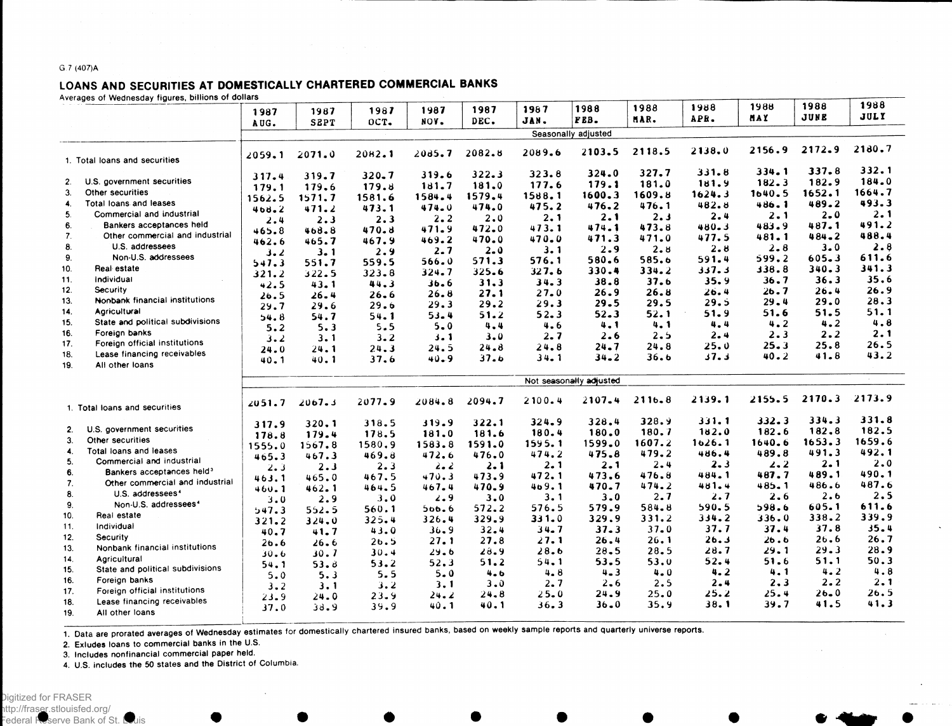#### **G 7 (407)A**

### LOANS AND SECURITIES AT DOMESTICALLY CHARTERED COMMERCIAL BANKS

**Averages of Wednesday figures, billions of dollars**

| Averages or weanesday rigures, bimons or donars   |            |                         |              |          |         |          |                     |          |         |        |           | 1988   |  |
|---------------------------------------------------|------------|-------------------------|--------------|----------|---------|----------|---------------------|----------|---------|--------|-----------|--------|--|
|                                                   | 1987       | 1987                    | 1987         | 1987     | 1987    | 1987     | 1988                | 1988     | 1988    | 1988   | 1988      | JULY   |  |
|                                                   | AUG.       | SEPT                    | OCT.         | NOV.     | DEC.    | JAN.     | FEB.                | MAR.     | APR.    | MAY    | JUNE      |        |  |
|                                                   |            |                         |              |          |         |          | Seasonally adjusted |          |         |        |           |        |  |
| 1. Total loans and securities                     | 2059.1     | 2071.0                  | 2082.1       | 2085.7   | 2082.8  | 2089.6   | 2103.5              | 2118.5   | 2138.0  | 2156.9 | 2172.9    | 2180.7 |  |
|                                                   | 317.4      | 319.7                   | 320.7        | 319.6    | 322.3   | 323.8    | 324.0               | 327.7    | 331.8   | 334.1  | 337.8     | 332.1  |  |
| U.S. government securities<br>2.                  | 179.1      | 179.6                   | 179.8        | 181.7    | 181.0   | 177.6    | 179.1               | 181.0    | 181.9   | 182.3  | 182.9     | 184.0  |  |
| 3.<br>Other securities                            | 1562.5     | 1571.7                  | 1581.6       | 1584.4   | 1579.4  | 1588.1   | 1600.3              | 1609.8   | 1624.3  | 1640.5 | 1652.1    | 1664.7 |  |
| Total loans and leases<br>4.                      |            | 471.2                   | 473.1        | 474.0    | 474.0   | 475.2    | 476.2               | 476.1    | 482.8   | 486.1  | 489.2     | 493.3  |  |
| 5.<br>Commercial and industrial                   | 408.2      | 2.3                     | 2.3          | 2.2      | 2.0     | 2.1      | 2.1                 | 2.3      | 2.4     | 2.1    | $2 - 0$   | 2.1    |  |
| 6.<br>Bankers acceptances held                    | 2.4        | 468.8                   | 470.8        | 471.9    | 472.0   | 473.1    | 474.1               | 473.8    | 480.3   | 483.9  | 487.1     | 491.2  |  |
| 7 <sub>1</sub><br>Other commercial and industrial | 465.8      | 465.7                   | 467.9        | 469.2    | 470.0   | 470.0    | 471.3               | 471.0    | 477.5   | 481.1  | 484.2     | 488.4  |  |
| 8.<br>U.S. addressees                             | 462.6      |                         |              | 2.7      | $2 - 0$ | 3.1      | 2.9                 | 2.8      | 2.8     | 2.8    | 3.0       | 2.8    |  |
| Non-U.S. addressees<br>9.                         | <b>ع.د</b> | 3.1                     | 2.9<br>559.5 | 566.0    | 571.3   | 576.1    | 580.6               | 585.6    | 591.4   | 599.2  | $605 - 3$ | 611.6  |  |
| 10.<br>Real estate                                | 547.3      | 551.7                   | $323 - 8$    | 324.7    | 325.6   | 327.6    | 330.4               | 334.2    | 337.3   | 138.8  | 340.3     | 341.3  |  |
| Individual<br>11.                                 | 321.2      | 322.5                   |              | 36.6     | 31.3    | 34.3     | 38.8                | 37.6     | 35.9    | 36.7   | 36.3      | 35.6   |  |
| 12.<br>Security                                   | 42.5       | 43.1                    | 44.3         | 26.8     | 27.1    | 27.0     | 26.9                | 26.8     | 26.4    | 26.7   | 26.4      | 26.9   |  |
| Nonbank financial institutions<br>13.             | 26.5       | 26.4                    | 26.6         | 29.3     | 29.2    | 29.3     | 29.5                | 29.5     | 29.5    | 29.4   | 29.0      | 28.3   |  |
| 14.<br>Agricultural                               | 29.7       | 29.6                    | 29.6         | $53 - 4$ | 51.2    | 52.3     | 52.3                | 52.1     | 51.9    | 51.6   | 51.5      | 51.1   |  |
| State and political subdivisions<br>15.           | 54.8       | 54.7                    | 54.1         | 5.0      | 4.4     | 4.6      | 4.1                 | 4.1      | 4.4     | 4.2    | 4.2       | 4.8    |  |
| 16.<br>Foreign banks                              | 5.2        | 5.3                     | 5.5          |          | 3.0     | 2.7      | 2.6                 | 2.5      | 2.4     | 2.3    | 2.2       | 2.1    |  |
| Foreign official institutions<br>17.              | 3.2        | 3.1                     | 3.2          | 3.1      | 24.8    | 24.8     | 24.7                | 24.8     | 25.0    | 25.3   | 25.8      | 26.5   |  |
| Lease financing receivables<br>18.                | 24.0       | 24.1                    | 24.3         | 24.5     | 37.6    | $34 - 1$ | $34 - 2$            | 36.6     | 37.3    | 40.2   | 41.8      | 43.2   |  |
| All other loans<br>19.                            | 40.1       | 40.1                    | 37.6         | 40.9     |         |          |                     |          |         |        |           |        |  |
|                                                   |            | Not seasonally adjusted |              |          |         |          |                     |          |         |        |           |        |  |
| 1. Total loans and securities                     | 2051.7     | 2067.3                  | 2077.9       | 2084.8   | 2094.7  | 2100.4   | 2107.4              | 2116.8   | 2139.1  | 2155.5 | 2170.3    | 2173.9 |  |
|                                                   | 317.9      | 320.1                   | 318.5        | 319.9    | 322.1   | 324.9    | 328.4               | 328.9    | 331.1   | 332.3  | 334.3     | 331.8  |  |
| U.S. government securities<br>2.                  | 178.8      | 179.4                   | 178.5        | 181.0    | 181.6   | 180.4    | 180.0               | 180.7    | 182.0   | 182.6  | 182.8     | 182.5  |  |
| 3.<br>Other securities                            | 1555.0     | 1567.8                  | 1580.9       | 1583.8   | 1591.0  | 1595.1   | 1599.0              | 1607.2   | 1626.1  | 1640.6 | 1653.3    | 1659.6 |  |
| $\ddot{4}$<br>Total loans and leases              | 465.3      | 467.3                   | 469.8        | 472.6    | 476.0   | 474.2    | 475.8               | 479.2    | 486.4   | 489.8  | 491.3     | 492.1  |  |
| 5.<br>Commercial and industrial                   | 2.3        | 2.3                     | 2.3          | 2.2      | 2.1     | 2.1      | 2.1                 | $2 - 4$  | $2 - 3$ | 2.2    | 2.1       | 2.0    |  |
| Bankers acceptances held <sup>3</sup><br>6.       | 463.1      | 465.0                   | 467.5        | 470.3    | 473.9   | 472.1    | 473.6               | 476.8    | 484.1   | 487.7  | 489.1     | 490.1  |  |
| Other commercial and industrial<br>7.             | 460.1      | 462.1                   | 464.5        | 467.4    | 470.9   | 409.1    | 470.7               | 474.2    | 481.4   | 485.1  | 486.6     | 487.6  |  |
| U.S. addressees <sup>4</sup><br>8.                | 3.0        | 2.9                     | 3.0          | 2.9      | 3.0     | 3.1      | 3.0                 | 2.7      | 2.7     | 2,6    | 2.6       | 2.5    |  |
| Non-U.S. addressees <sup>4</sup><br>9.            | 547.3      | 552.5                   | 560.1        | 500.6    | 572.2   | 576.5    | 579.9               | 584.8    | 590.5   | 598.6  | 605.1     | 611.6  |  |
| Real estate<br>10.                                | 321.2      | 324.0                   | 325.4        | 326.4    | 329.9   | 331.0    | 329.9               | 331.2    | 334.2   | 336.0  | 338.2     | 339.9  |  |
| Individual<br>11.                                 | 40.7       | 41.7                    | 43.0         | 36.9     | 32.4    | 34.7     | 37.3                | $37 - 0$ | 37.7    | 37.4   | 37.8      | 35.4   |  |
| 12.<br>Security                                   | 26.6       | 26.6                    | 26.5         | 27.1     | 27.8    | 27.1     | 26.4                | 26.1     | 26.3    | 26.6   | 26.6      | 26.7   |  |
| Nonbank financial institutions<br>13.             | 30.6       | 30.7                    | 30.4         | 29.6     | 28.9    | 28.6     | $28 - 5$            | 28.5     | 28.7    | 29.1   | 29.3      | 28.9   |  |
| Agricultural<br>14.                               | 54.1       | 53.8                    | 53.2         | 52.3     | 51.2    | 54.1     | 53.5                | 53.0     | 52.4    | 51.6   | 51.1      | 50.3   |  |
| State and political subdivisions<br>15.           | 5.0        | 5.3                     | 5.5          | $5 - 0$  | 4.6     | 4.8      | $4 - 3$             | $4 - 0$  | 4.2     | 4.1    | 4.2       | 4.8    |  |
| 16.<br>Foreign banks                              | 3.2        | 3.1                     | 3.2          | 3.1      | 3.0     | 2.7      | 2.6                 | 2.5      | 2.4     | 2.3    | 2.2       | 2.1    |  |
| Foreign official institutions<br>17.              | 23.9       | 24.0                    | 23.9         | 24.2     | 24.8    | $25 - 0$ | 24.9                | 25.0     | 25.2    | 25.4   | $26 - 0$  | 26.5   |  |
| Lease financing receivables<br>18.                | 37.0       | 38.9                    | 39.9         | 40.1     | 40.1    | 36.3     | 36.0                | 35.9     | 38. 1   | 39.7   | 41.5      | 41.3   |  |
| 19.<br>All other loans                            |            |                         |              |          |         |          |                     |          |         |        |           |        |  |

1. Data are prorated averages of Wednesday estimates for domestically chartered insured banks, based on weekly sample reports and quarterly universe reports.

**2. Exludes loans to commercial banks in the U.S.**

**3. Includes nonfinancial commercial paper held.**

**4. U.S. includes the 50 states and the District of Columbia.**